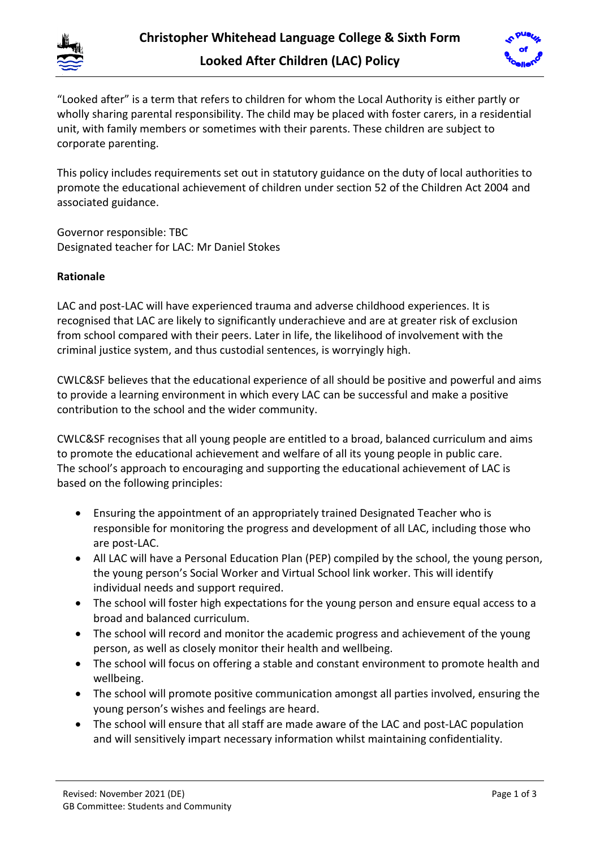



"Looked after" is a term that refers to children for whom the Local Authority is either partly or wholly sharing parental responsibility. The child may be placed with foster carers, in a residential unit, with family members or sometimes with their parents. These children are subject to corporate parenting.

This policy includes requirements set out in statutory guidance on the duty of local authorities to promote the educational achievement of children under section 52 of the Children Act 2004 and associated guidance.

Governor responsible: TBC Designated teacher for LAC: Mr Daniel Stokes

# **Rationale**

LAC and post-LAC will have experienced trauma and adverse childhood experiences. It is recognised that LAC are likely to significantly underachieve and are at greater risk of exclusion from school compared with their peers. Later in life, the likelihood of involvement with the criminal justice system, and thus custodial sentences, is worryingly high.

CWLC&SF believes that the educational experience of all should be positive and powerful and aims to provide a learning environment in which every LAC can be successful and make a positive contribution to the school and the wider community.

CWLC&SF recognises that all young people are entitled to a broad, balanced curriculum and aims to promote the educational achievement and welfare of all its young people in public care. The school's approach to encouraging and supporting the educational achievement of LAC is based on the following principles:

- Ensuring the appointment of an appropriately trained Designated Teacher who is responsible for monitoring the progress and development of all LAC, including those who are post-LAC.
- All LAC will have a Personal Education Plan (PEP) compiled by the school, the young person, the young person's Social Worker and Virtual School link worker. This will identify individual needs and support required.
- The school will foster high expectations for the young person and ensure equal access to a broad and balanced curriculum.
- The school will record and monitor the academic progress and achievement of the young person, as well as closely monitor their health and wellbeing.
- The school will focus on offering a stable and constant environment to promote health and wellbeing.
- The school will promote positive communication amongst all parties involved, ensuring the young person's wishes and feelings are heard.
- The school will ensure that all staff are made aware of the LAC and post-LAC population and will sensitively impart necessary information whilst maintaining confidentiality.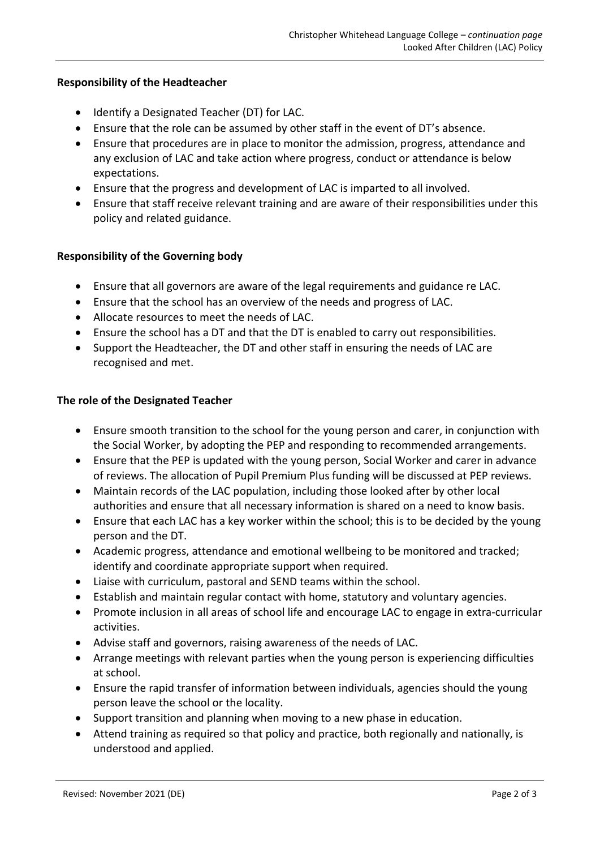## **Responsibility of the Headteacher**

- Identify a Designated Teacher (DT) for LAC.
- Ensure that the role can be assumed by other staff in the event of DT's absence.
- Ensure that procedures are in place to monitor the admission, progress, attendance and any exclusion of LAC and take action where progress, conduct or attendance is below expectations.
- Ensure that the progress and development of LAC is imparted to all involved.
- Ensure that staff receive relevant training and are aware of their responsibilities under this policy and related guidance.

## **Responsibility of the Governing body**

- Ensure that all governors are aware of the legal requirements and guidance re LAC.
- Ensure that the school has an overview of the needs and progress of LAC.
- Allocate resources to meet the needs of LAC.
- Ensure the school has a DT and that the DT is enabled to carry out responsibilities.
- Support the Headteacher, the DT and other staff in ensuring the needs of LAC are recognised and met.

#### **The role of the Designated Teacher**

- Ensure smooth transition to the school for the young person and carer, in conjunction with the Social Worker, by adopting the PEP and responding to recommended arrangements.
- Ensure that the PEP is updated with the young person, Social Worker and carer in advance of reviews. The allocation of Pupil Premium Plus funding will be discussed at PEP reviews.
- Maintain records of the LAC population, including those looked after by other local authorities and ensure that all necessary information is shared on a need to know basis.
- Ensure that each LAC has a key worker within the school; this is to be decided by the young person and the DT.
- Academic progress, attendance and emotional wellbeing to be monitored and tracked; identify and coordinate appropriate support when required.
- Liaise with curriculum, pastoral and SEND teams within the school.
- Establish and maintain regular contact with home, statutory and voluntary agencies.
- Promote inclusion in all areas of school life and encourage LAC to engage in extra-curricular activities.
- Advise staff and governors, raising awareness of the needs of LAC.
- Arrange meetings with relevant parties when the young person is experiencing difficulties at school.
- Ensure the rapid transfer of information between individuals, agencies should the young person leave the school or the locality.
- Support transition and planning when moving to a new phase in education.
- Attend training as required so that policy and practice, both regionally and nationally, is understood and applied.